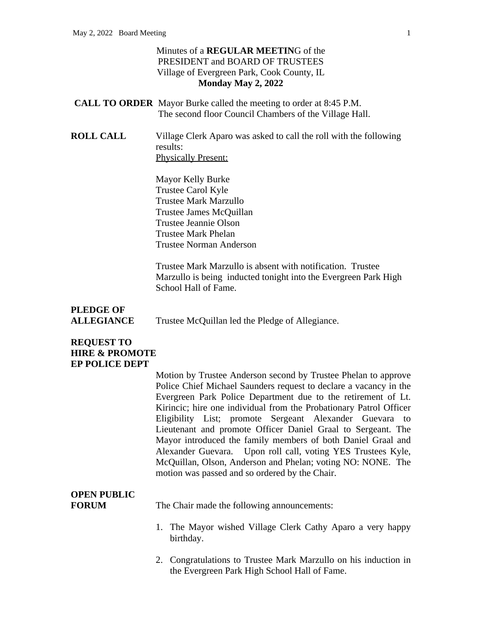## Minutes of a **REGULAR MEETIN**G of the PRESIDENT and BOARD OF TRUSTEES Village of Evergreen Park, Cook County, IL **Monday May 2, 2022**

- **CALL TO ORDER** Mayor Burke called the meeting to order at 8:45 P.M. The second floor Council Chambers of the Village Hall.
- **ROLL CALL** Village Clerk Aparo was asked to call the roll with the following results: Physically Present:

Mayor Kelly Burke Trustee Carol Kyle Trustee Mark Marzullo Trustee James McQuillan Trustee Jeannie Olson Trustee Mark Phelan Trustee Norman Anderson

Trustee Mark Marzullo is absent with notification. Trustee Marzullo is being inducted tonight into the Evergreen Park High School Hall of Fame.

**PLEDGE OF** ALLEGIANCE Trustee McQuillan led the Pledge of Allegiance.

## **REQUEST TO HIRE & PROMOTE EP POLICE DEPT**

Motion by Trustee Anderson second by Trustee Phelan to approve Police Chief Michael Saunders request to declare a vacancy in the Evergreen Park Police Department due to the retirement of Lt. Kirincic; hire one individual from the Probationary Patrol Officer Eligibility List; promote Sergeant Alexander Guevara to Lieutenant and promote Officer Daniel Graal to Sergeant. The Mayor introduced the family members of both Daniel Graal and Alexander Guevara. Upon roll call, voting YES Trustees Kyle, McQuillan, Olson, Anderson and Phelan; voting NO: NONE. The motion was passed and so ordered by the Chair.

# **OPEN PUBLIC**

**FORUM** The Chair made the following announcements:

- 1. The Mayor wished Village Clerk Cathy Aparo a very happy birthday.
- 2. Congratulations to Trustee Mark Marzullo on his induction in the Evergreen Park High School Hall of Fame.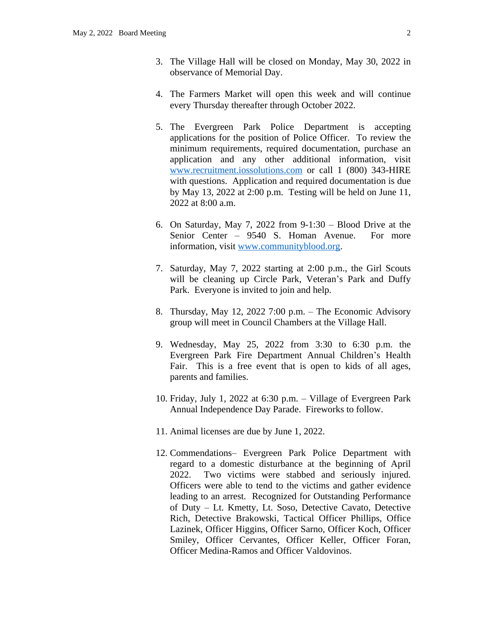- 3. The Village Hall will be closed on Monday, May 30, 2022 in observance of Memorial Day.
- 4. The Farmers Market will open this week and will continue every Thursday thereafter through October 2022.
- 5. The Evergreen Park Police Department is accepting applications for the position of Police Officer. To review the minimum requirements, required documentation, purchase an application and any other additional information, visit [www.recruitment.iossolutions.com](http://www.recruitment.iossolutions.com) or call 1 (800) 343-HIRE with questions. Application and required documentation is due by May 13, 2022 at 2:00 p.m. Testing will be held on June 11, 2022 at 8:00 a.m.
- 6. On Saturday, May 7, 2022 from 9-1:30 Blood Drive at the Senior Center – 9540 S. Homan Avenue. For more information, visit [www.communityblood.org](http://www.communityblood.org).
- 7. Saturday, May 7, 2022 starting at 2:00 p.m., the Girl Scouts will be cleaning up Circle Park, Veteran's Park and Duffy Park. Everyone is invited to join and help.
- 8. Thursday, May 12, 2022 7:00 p.m. The Economic Advisory group will meet in Council Chambers at the Village Hall.
- 9. Wednesday, May 25, 2022 from 3:30 to 6:30 p.m. the Evergreen Park Fire Department Annual Children's Health Fair. This is a free event that is open to kids of all ages, parents and families.
- 10. Friday, July 1, 2022 at 6:30 p.m. Village of Evergreen Park Annual Independence Day Parade. Fireworks to follow.
- 11. Animal licenses are due by June 1, 2022.
- 12. Commendations– Evergreen Park Police Department with regard to a domestic disturbance at the beginning of April 2022. Two victims were stabbed and seriously injured. Officers were able to tend to the victims and gather evidence leading to an arrest. Recognized for Outstanding Performance of Duty – Lt. Kmetty, Lt. Soso, Detective Cavato, Detective Rich, Detective Brakowski, Tactical Officer Phillips, Office Lazinek, Officer Higgins, Officer Sarno, Officer Koch, Officer Smiley, Officer Cervantes, Officer Keller, Officer Foran, Officer Medina-Ramos and Officer Valdovinos.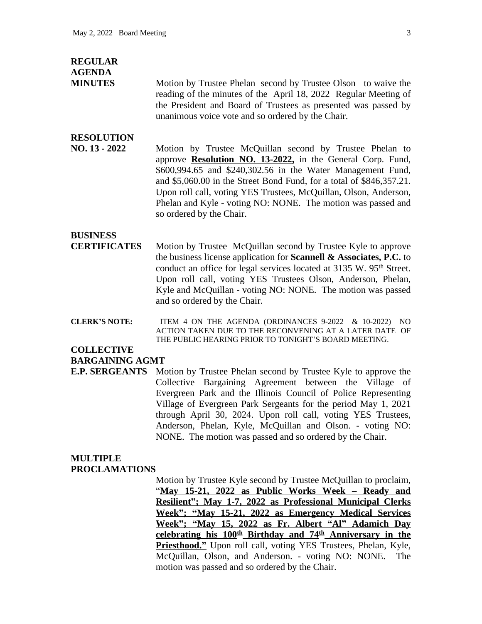#### **REGULAR AGENDA**

**MINUTES** Motion by Trustee Phelan second by Trustee Olson to waive the reading of the minutes of the April 18, 2022 Regular Meeting of the President and Board of Trustees as presented was passed by unanimous voice vote and so ordered by the Chair.

# **RESOLUTION**

**NO. 13 - 2022** Motion by Trustee McQuillan second by Trustee Phelan to approve **Resolution NO. 13-2022,** in the General Corp. Fund, \$600,994.65 and \$240,302.56 in the Water Management Fund, and \$5,060.00 in the Street Bond Fund, for a total of \$846,357.21. Upon roll call, voting YES Trustees, McQuillan, Olson, Anderson, Phelan and Kyle - voting NO: NONE. The motion was passed and so ordered by the Chair.

## **BUSINESS**

- **CERTIFICATES** Motion by Trustee McQuillan second by Trustee Kyle to approve the business license application for **Scannell & Associates, P.C.** to conduct an office for legal services located at 3135 W. 95<sup>th</sup> Street. Upon roll call, voting YES Trustees Olson, Anderson, Phelan, Kyle and McQuillan - voting NO: NONE. The motion was passed and so ordered by the Chair.
- **CLERK'S NOTE:** ITEM 4 ON THE AGENDA (ORDINANCES 9-2022 & 10-2022) NO ACTION TAKEN DUE TO THE RECONVENING AT A LATER DATE OF THE PUBLIC HEARING PRIOR TO TONIGHT'S BOARD MEETING.

#### **COLLECTIVE BARGAINING AGMT**

**E.P. SERGEANTS** Motion by Trustee Phelan second by Trustee Kyle to approve the Collective Bargaining Agreement between the Village of Evergreen Park and the Illinois Council of Police Representing Village of Evergreen Park Sergeants for the period May 1, 2021 through April 30, 2024. Upon roll call, voting YES Trustees, Anderson, Phelan, Kyle, McQuillan and Olson. - voting NO: NONE. The motion was passed and so ordered by the Chair.

# **MULTIPLE**

### **PROCLAMATIONS**

Motion by Trustee Kyle second by Trustee McQuillan to proclaim, "**May 15-21, 2022 as Public Works Week – Ready and Resilient"; May 1-7, 2022 as Professional Municipal Clerks Week"; "May 15-21, 2022 as Emergency Medical Services Week"; "May 15, 2022 as Fr. Albert "Al" Adamich Day celebrating his 100th Birthday and 74th Anniversary in the Priesthood."** Upon roll call, voting YES Trustees, Phelan, Kyle, McQuillan, Olson, and Anderson. - voting NO: NONE. The motion was passed and so ordered by the Chair.